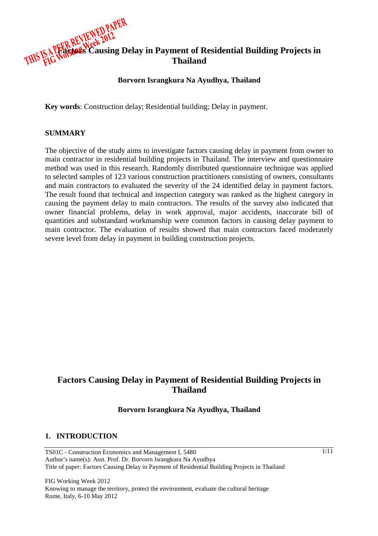

### **Borvorn Israngkura Na Ayudhya, Thailand**

**Key words**: Construction delay; Residential building; Delay in payment.

### **SUMMARY**

The objective of the study aims to investigate factors causing delay in payment from owner to main contractor in residential building projects in Thailand. The interview and questionnaire method was used in this research. Randomly distributed questionnaire technique was applied to selected samples of 123 various construction practitioners consisting of owners, consultants and main contractors to evaluated the severity of the 24 identified delay in payment factors. The result found that technical and inspection category was ranked as the highest category in causing the payment delay to main contractors. The results of the survey also indicated that owner financial problems, delay in work approval, major accidents, inaccurate bill of quantities and substandard workmanship were common factors in causing delay payment to main contractor. The evaluation of results showed that main contractors faced moderately severe level from delay in payment in building construction projects.

# **Factors Causing Delay in Payment of Residential Building Projects in Thailand**

### **Borvorn Israngkura Na Ayudhya, Thailand**

#### **1. INTRODUCTION**

TS01C - Construction Economics and Management I, 5480 Author's name(s): Asst. Prof. Dr. Borvorn Israngkura Na Ayudhya Title of paper: Factors Causing Delay in Payment of Residential Building Projects in Thailand

FIG Working Week 2012 Knowing to manage the territory, protect the environment, evaluate the cultural heritage Rome, Italy, 6-10 May 2012

1/11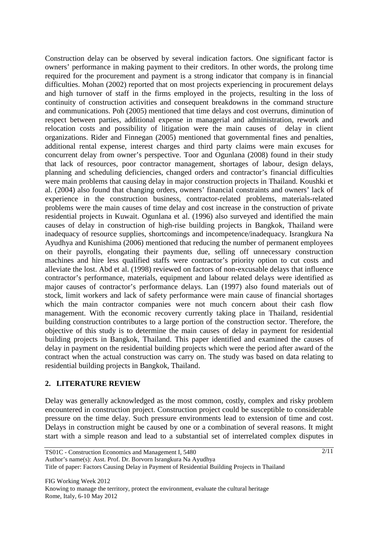Construction delay can be observed by several indication factors. One significant factor is owners' performance in making payment to their creditors. In other words, the prolong time required for the procurement and payment is a strong indicator that company is in financial difficulties. Mohan (2002) reported that on most projects experiencing in procurement delays and high turnover of staff in the firms employed in the projects, resulting in the loss of continuity of construction activities and consequent breakdowns in the command structure and communications. Poh (2005) mentioned that time delays and cost overruns, diminution of respect between parties, additional expense in managerial and administration, rework and relocation costs and possibility of litigation were the main causes of delay in client organizations. Rider and Finnegan (2005) mentioned that governmental fines and penalties, additional rental expense, interest charges and third party claims were main excuses for concurrent delay from owner's perspective. Toor and Ogunlana (2008) found in their study that lack of resources, poor contractor management, shortages of labour, design delays, planning and scheduling deficiencies, changed orders and contractor's financial difficulties were main problems that causing delay in major construction projects in Thailand. Koushki et al. (2004) also found that changing orders, owners' financial constraints and owners' lack of experience in the construction business, contractor-related problems, materials-related problems were the main causes of time delay and cost increase in the construction of private residential projects in Kuwait. Ogunlana et al. (1996) also surveyed and identified the main causes of delay in construction of high-rise building projects in Bangkok, Thailand were inadequacy of resource supplies, shortcomings and incompetence/inadequacy. Israngkura Na Ayudhya and Kunishima (2006) mentioned that reducing the number of permanent employees on their payrolls, elongating their payments due, selling off unnecessary construction machines and hire less qualified staffs were contractor's priority option to cut costs and alleviate the lost. Abd et al. (1998) reviewed on factors of non-excusable delays that influence contractor's performance, materials, equipment and labour related delays were identified as major causes of contractor's performance delays. Lan (1997) also found materials out of stock, limit workers and lack of safety performance were main cause of financial shortages which the main contractor companies were not much concern about their cash flow management. With the economic recovery currently taking place in Thailand, residential building construction contributes to a large portion of the construction sector. Therefore, the objective of this study is to determine the main causes of delay in payment for residential building projects in Bangkok, Thailand. This paper identified and examined the causes of delay in payment on the residential building projects which were the period after award of the contract when the actual construction was carry on. The study was based on data relating to residential building projects in Bangkok, Thailand.

## **2. LITERATURE REVIEW**

Delay was generally acknowledged as the most common, costly, complex and risky problem encountered in construction project. Construction project could be susceptible to considerable pressure on the time delay. Such pressure environments lead to extension of time and cost. Delays in construction might be caused by one or a combination of several reasons. It might start with a simple reason and lead to a substantial set of interrelated complex disputes in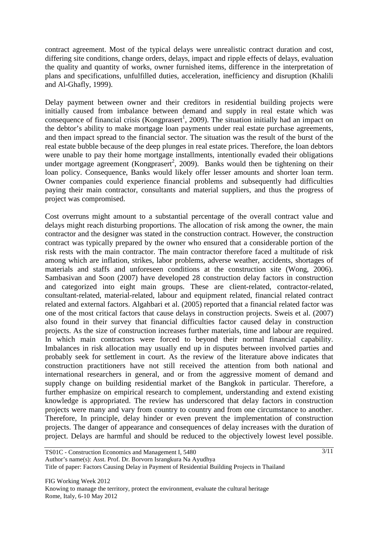contract agreement. Most of the typical delays were unrealistic contract duration and cost, differing site conditions, change orders, delays, impact and ripple effects of delays, evaluation the quality and quantity of works, owner furnished items, difference in the interpretation of plans and specifications, unfulfilled duties, acceleration, inefficiency and disruption (Khalili and Al-Ghafly, 1999).

Delay payment between owner and their creditors in residential building projects were initially caused from imbalance between demand and supply in real estate which was consequence of financial crisis (Kongprasert<sup>1</sup>, 2009). The situation initially had an impact on the debtor's ability to make mortgage loan payments under real estate purchase agreements, and then impact spread to the financial sector. The situation was the result of the burst of the real estate bubble because of the deep plunges in real estate prices. Therefore, the loan debtors were unable to pay their home mortgage installments, intentionally evaded their obligations under mortgage agreement (Kongprasert<sup>2</sup>, 2009). Banks would then be tightening on their loan policy. Consequence, Banks would likely offer lesser amounts and shorter loan term. Owner companies could experience financial problems and subsequently had difficulties paying their main contractor, consultants and material suppliers, and thus the progress of project was compromised.

Cost overruns might amount to a substantial percentage of the overall contract value and delays might reach disturbing proportions. The allocation of risk among the owner, the main contractor and the designer was stated in the construction contract. However, the construction contract was typically prepared by the owner who ensured that a considerable portion of the risk rests with the main contractor. The main contractor therefore faced a multitude of risk among which are inflation, strikes, labor problems, adverse weather, accidents, shortages of materials and staffs and unforeseen conditions at the construction site (Wong, 2006). Sambasivan and Soon (2007) have developed 28 construction delay factors in construction and categorized into eight main groups. These are client-related, contractor-related, consultant-related, material-related, labour and equipment related, financial related contract related and external factors. Algahbari et al. (2005) reported that a financial related factor was one of the most critical factors that cause delays in construction projects. Sweis et al. (2007) also found in their survey that financial difficulties factor caused delay in construction projects. As the size of construction increases further materials, time and labour are required. In which main contractors were forced to beyond their normal financial capability. Imbalances in risk allocation may usually end up in disputes between involved parties and probably seek for settlement in court. As the review of the literature above indicates that construction practitioners have not still received the attention from both national and international researchers in general, and or from the aggressive moment of demand and supply change on building residential market of the Bangkok in particular. Therefore, a further emphasize on empirical research to complement, understanding and extend existing knowledge is appropriated. The review has underscored that delay factors in construction projects were many and vary from country to country and from one circumstance to another. Therefore, In principle, delay hinder or even prevent the implementation of construction projects. The danger of appearance and consequences of delay increases with the duration of project. Delays are harmful and should be reduced to the objectively lowest level possible.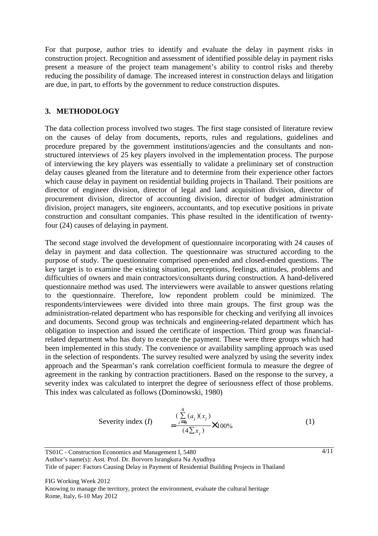For that purpose, author tries to identify and evaluate the delay in payment risks in construction project. Recognition and assessment of identified possible delay in payment risks present a measure of the project team management's ability to control risks and thereby reducing the possibility of damage. The increased interest in construction delays and litigation are due, in part, to efforts by the government to reduce construction disputes.

## **3. METHODOLOGY**

The data collection process involved two stages. The first stage consisted of literature review on the causes of delay from documents, reports, rules and regulations, guidelines and procedure prepared by the government institutions/agencies and the consultants and nonstructured interviews of 25 key players involved in the implementation process. The purpose of interviewing the key players was essentially to validate a preliminary set of construction delay causes gleaned from the literature and to determine from their experience other factors which cause delay in payment on residential building projects in Thailand. Their positions are director of engineer division, director of legal and land acquisition division, director of procurement division, director of accounting division, director of budget administration division, project managers, site engineers, accountants, and top executive positions in private construction and consultant companies. This phase resulted in the identification of twentyfour (24) causes of delaying in payment.

The second stage involved the development of questionnaire incorporating with 24 causes of delay in payment and data collection. The questionnaire was structured according to the purpose of study. The questionnaire comprised open-ended and closed-ended questions. The key target is to examine the existing situation, perceptions, feelings, attitudes, problems and difficulties of owners and main contractors/consultants during construction. A hand-delivered questionnaire method was used. The interviewers were available to answer questions relating to the questionnaire. Therefore, low repondent problem could be minimized. The respondents/interviewees were divided into three main groups. The first group was the administration-related department who has responsible for checking and verifying all invoices and documents. Second group was technicals and engineering-related department which has obligation to inspection and issued the certificate of inspection. Third group was financialrelated department who has duty to execute the payment. These were three groups which had been implemented in this study. The convenience or availability sampling approach was used in the selection of respondents. The survey resulted were analyzed by using the severity index approach and the Spearman's rank correlation coefficient formula to measure the degree of agreement in the ranking by contraction practitioners. Based on the response to the survey, a severity index was calculated to interpret the degree of seriousness effect of those problems. This index was calculated as follows (Dominowski, 1980)

Severity index (*I*) 
$$
= \frac{(\sum_{i=0}^{4} (a_i)(x_i))}{(4\sum x_i)} \times 100\%
$$
 (1)

TS01C - Construction Economics and Management I, 5480 Author's name(s): Asst. Prof. Dr. Borvorn Israngkura Na Ayudhya Title of paper: Factors Causing Delay in Payment of Residential Building Projects in Thailand 4/11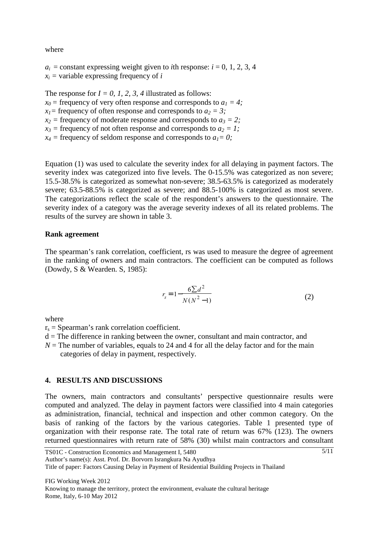where

 $a_i$  = constant expressing weight given to *i*th response:  $i = 0, 1, 2, 3, 4$  $x_i$  = variable expressing frequency of *i* 

The response for  $I = 0, I, 2, 3, 4$  illustrated as follows:  $x_0$  = frequency of very often response and corresponds to  $a_1 = 4$ ; *x*<sub>1</sub> = frequency of often response and corresponds to  $a_2 = 3$ ;  $x_2$  = frequency of moderate response and corresponds to  $a_3 = 2$ ;  $x_3$  = frequency of not often response and corresponds to  $a_2 = 1$ ;  $x_4$  = frequency of seldom response and corresponds to  $a_1 = 0$ ;

Equation (1) was used to calculate the severity index for all delaying in payment factors. The severity index was categorized into five levels. The 0-15.5% was categorized as non severe; 15.5-38.5% is categorized as somewhat non-severe; 38.5-63.5% is categorized as moderately severe; 63.5-88.5% is categorized as severe; and 88.5-100% is categorized as most severe. The categorizations reflect the scale of the respondent's answers to the questionnaire. The severity index of a category was the average severity indexes of all its related problems. The results of the survey are shown in table 3.

#### **Rank agreement**

The spearman's rank correlation, coefficient, rs was used to measure the degree of agreement in the ranking of owners and main contractors. The coefficient can be computed as follows (Dowdy, S & Wearden. S, 1985):

$$
r_s = 1 - \frac{6\sum d^2}{N(N^2 - 1)}
$$
 (2)

where

 $r_s$  = Spearman's rank correlation coefficient.

 $d =$ The difference in ranking between the owner, consultant and main contractor, and

 $N =$ The number of variables, equals to 24 and 4 for all the delay factor and for the main categories of delay in payment, respectively.

### **4. RESULTS AND DISCUSSIONS**

The owners, main contractors and consultants' perspective questionnaire results were computed and analyzed. The delay in payment factors were classified into 4 main categories as administration, financial, technical and inspection and other common category. On the basis of ranking of the factors by the various categories. Table 1 presented type of organization with their response rate. The total rate of return was 67% (123). The owners returned questionnaires with return rate of 58% (30) whilst main contractors and consultant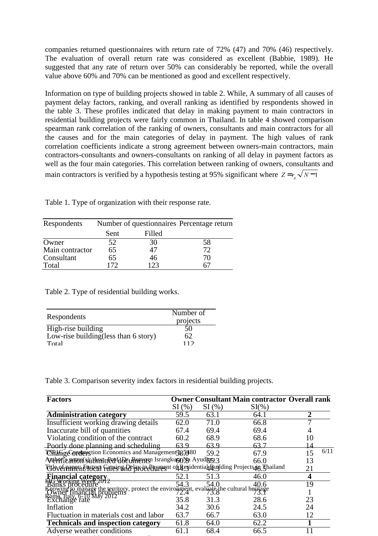companies returned questionnaires with return rate of 72% (47) and 70% (46) respectively. The evaluation of overall return rate was considered as excellent (Babbie, 1989). He suggested that any rate of return over 50% can considerably be reported, while the overall value above 60% and 70% can be mentioned as good and excellent respectively.

Information on type of building projects showed in table 2. While, A summary of all causes of payment delay factors, ranking, and overall ranking as identified by respondents showed in the table 3. These profiles indicated that delay in making payment to main contractors in residential building projects were fairly common in Thailand. In table 4 showed comparison spearman rank correlation of the ranking of owners, consultants and main contractors for all the causes and for the main categories of delay in payment. The high values of rank correlation coefficients indicate a strong agreement between owners-main contractors, main contractors-consultants and owners-consultants on ranking of all delay in payment factors as well as the four main categories. This correlation between ranking of owners, consultants and main contractors is verified by a hypothesis testing at 95% significant where  $Z = r_s \sqrt{N-1}$ 

| Respondents     |      |        | Number of questionnaires Percentage return |
|-----------------|------|--------|--------------------------------------------|
|                 | Sent | Filled |                                            |
| Owner           | 52   | 30     | 58                                         |
| Main contractor | 65   | 47     | 72                                         |
| Consultant      | 65   | 46     | 70                                         |
| Total           | 172  | 123    |                                            |

Table 1. Type of organization with their response rate.

Table 2. Type of residential building works.

| Respondents                           | Number of<br>projects |
|---------------------------------------|-----------------------|
| High-rise building                    | 50                    |
| Low-rise building (less than 6 story) | 62                    |
| Total                                 | 112                   |

Table 3. Comparison severity index factors in residential building projects.

| <b>Factors</b>                                                                                                                                                                                                                  |       |       | <b>Owner Consultant Main contractor Overall rank</b> |                         |
|---------------------------------------------------------------------------------------------------------------------------------------------------------------------------------------------------------------------------------|-------|-------|------------------------------------------------------|-------------------------|
|                                                                                                                                                                                                                                 | SI(%) | SI(%) | $SI(\% )$                                            |                         |
| <b>Administration category</b>                                                                                                                                                                                                  | 59.5  | 63.1  | 64.1                                                 | $\overline{2}$          |
| Insufficient working drawing details                                                                                                                                                                                            | 62.0  | 71.0  | 66.8                                                 |                         |
| Inaccurate bill of quantities                                                                                                                                                                                                   | 67.4  | 69.4  | 69.4                                                 |                         |
| Violating condition of the contract                                                                                                                                                                                             | 60.2  | 68.9  | 68.6                                                 | 10                      |
| Poorly done planning and scheduling                                                                                                                                                                                             | 63 9  | 63.9  | 63 7                                                 |                         |
| TSHangeCondlengtion Economics and Management 585480                                                                                                                                                                             |       | 59.2  | 67.9                                                 | 6/11<br>15              |
| Anthorie anno Submittero de uhvergen Israngkugo Na Ayudaya 3                                                                                                                                                                    |       |       | 66.0                                                 | 13                      |
| Tübvernamen Fastess Fallesnan Pelavie Payment on Residential Auditing Projects in Fhailand                                                                                                                                      |       |       |                                                      | 21                      |
| <b>Financial category<br/>BG Working Week 2012</b><br>Banks brocedure                                                                                                                                                           | 52.1  | 51.3  | 46.0                                                 | $\overline{\mathbf{4}}$ |
|                                                                                                                                                                                                                                 |       |       |                                                      | 19                      |
|                                                                                                                                                                                                                                 |       |       |                                                      |                         |
| Enowing Browning the territory, protect the environment, evaluate the cultural heritage<br>Dwner I mancing the territory, protect the environment, evaluate the cultural heritage<br>Rome, Italy 6-10 May 2012<br>Exchange rate |       |       |                                                      | 23                      |
| Inflation                                                                                                                                                                                                                       | 34.2  | 30.6  | 24.5                                                 | 24                      |
| Fluctuation in materials cost and labor                                                                                                                                                                                         | 63.7  | 66.7  | 63.0                                                 | 12                      |
| <b>Technicals and inspection category</b>                                                                                                                                                                                       | 61.8  | 64.0  | 62.2                                                 | 1                       |
| Adverse weather conditions                                                                                                                                                                                                      | 61    | 68.4  | 66.5                                                 |                         |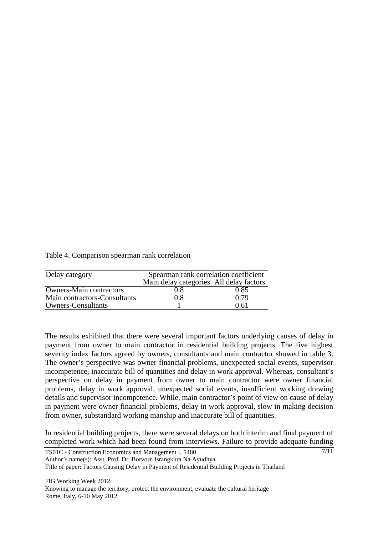Table 4. Comparison spearman rank correlation

| Delay category                 | Spearman rank correlation coefficient   |      |  |
|--------------------------------|-----------------------------------------|------|--|
|                                | Main delay categories All delay factors |      |  |
| <b>Owners-Main contractors</b> | 0.8                                     | 0.85 |  |
| Main contractors-Consultants   | 0.8                                     | 0.79 |  |
| <b>Owners-Consultants</b>      |                                         | 0.61 |  |

The results exhibited that there were several important factors underlying causes of delay in payment from owner to main contractor in residential building projects. The five highest severity index factors agreed by owners, consultants and main contractor showed in table 3. The owner's perspective was owner financial problems, unexpected social events, supervisor incompetence, inaccurate bill of quantities and delay in work approval. Whereas, consultant's perspective on delay in payment from owner to main contractor were owner financial problems, delay in work approval, unexpected social events, insufficient working drawing details and supervisor incompetence. While, main contractor's point of view on cause of delay in payment were owner financial problems, delay in work approval, slow in making decision from owner, substandard working manship and inaccurate bill of quantities.

In residential building projects, there were several delays on both interim and final payment of completed work which had been found from interviews. Failure to provide adequate funding

7/11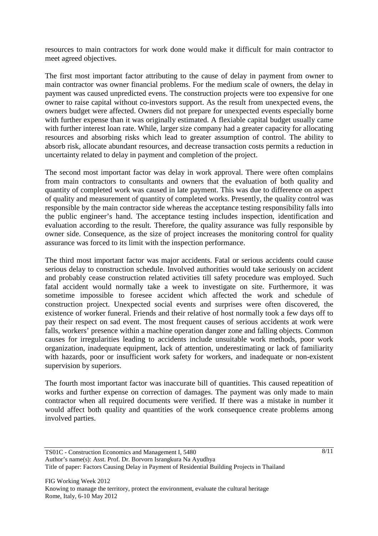resources to main contractors for work done would make it difficult for main contractor to meet agreed objectives.

The first most important factor attributing to the cause of delay in payment from owner to main contractor was owner financial problems. For the medium scale of owners, the delay in payment was caused unpredicted evens. The construction projects were too expensive for one owner to raise capital without co-investors support. As the result from unexpected evens, the owners budget were affected. Owners did not prepare for unexpected events especially borne with further expense than it was originally estimated. A flexiable capital budget usually came with further interest loan rate. While, larger size company had a greater capacity for allocating resources and absorbing risks which lead to greater assumption of control. The ability to absorb risk, allocate abundant resources, and decrease transaction costs permits a reduction in uncertainty related to delay in payment and completion of the project.

The second most important factor was delay in work approval. There were often complains from main contractors to consultants and owners that the evaluation of both quality and quantity of completed work was caused in late payment. This was due to difference on aspect of quality and measurement of quantity of completed works. Presently, the quality control was responsible by the main contractor side whereas the acceptance testing responsibility falls into the public engineer's hand. The acceptance testing includes inspection, identification and evaluation according to the result. Therefore, the quality assurance was fully responsible by owner side. Consequence, as the size of project increases the monitoring control for quality assurance was forced to its limit with the inspection performance.

The third most important factor was major accidents. Fatal or serious accidents could cause serious delay to construction schedule. Involved authorities would take seriously on accident and probably cease construction related activities till safety procedure was employed. Such fatal accident would normally take a week to investigate on site. Furthermore, it was sometime impossible to foresee accident which affected the work and schedule of construction project. Unexpected social events and surprises were often discovered, the existence of worker funeral. Friends and their relative of host normally took a few days off to pay their respect on sad event. The most frequent causes of serious accidents at work were falls, workers' presence within a machine operation danger zone and falling objects. Common causes for irregularities leading to accidents include unsuitable work methods, poor work organization, inadequate equipment, lack of attention, underestimating or lack of familiarity with hazards, poor or insufficient work safety for workers, and inadequate or non-existent supervision by superiors.

The fourth most important factor was inaccurate bill of quantities. This caused repeatition of works and further expense on correction of damages. The payment was only made to main contractor when all required documents were verified. If there was a mistake in number it would affect both quality and quantities of the work consequence create problems among involved parties.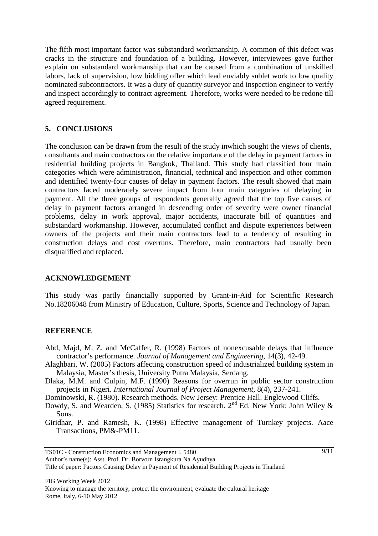The fifth most important factor was substandard workmanship. A common of this defect was cracks in the structure and foundation of a building. However, interviewees gave further explain on substandard workmanship that can be caused from a combination of unskilled labors, lack of supervision, low bidding offer which lead enviably sublet work to low quality nominated subcontractors. It was a duty of quantity surveyor and inspection engineer to verify and inspect accordingly to contract agreement. Therefore, works were needed to be redone till agreed requirement.

## **5. CONCLUSIONS**

The conclusion can be drawn from the result of the study inwhich sought the views of clients, consultants and main contractors on the relative importance of the delay in payment factors in residential building projects in Bangkok, Thailand. This study had classified four main categories which were administration, financial, technical and inspection and other common and identified twenty-four causes of delay in payment factors. The result showed that main contractors faced moderately severe impact from four main categories of delaying in payment. All the three groups of respondents generally agreed that the top five causes of delay in payment factors arranged in descending order of severity were owner financial problems, delay in work approval, major accidents, inaccurate bill of quantities and substandard workmanship. However, accumulated conflict and dispute experiences between owners of the projects and their main contractors lead to a tendency of resulting in construction delays and cost overruns. Therefore, main contractors had usually been disqualified and replaced.

## **ACKNOWLEDGEMENT**

This study was partly financially supported by Grant-in-Aid for Scientific Research No.18206048 from Ministry of Education, Culture, Sports, Science and Technology of Japan.

## **REFERENCE**

- Abd, Majd, M. Z. and McCaffer, R. (1998) Factors of nonexcusable delays that influence contractor's performance. *Journal of Management and Engineering*, 14(3), 42-49.
- Alaghbari, W. (2005) Factors affecting construction speed of industrialized building system in Malaysia, Master's thesis, University Putra Malaysia, Serdang.
- Dlaka, M.M. and Culpin, M.F. (1990) Reasons for overrun in public sector construction projects in Nigeri. *International Journal of Project Management*, 8(4), 237-241.
- Dominowski, R. (1980). Research methods. New Jersey: Prentice Hall. Englewood Cliffs.
- Dowdy, S. and Wearden, S. (1985) Statistics for research.  $2^{nd}$  Ed. New York: John Wiley & Sons.
- Giridhar, P. and Ramesh, K. (1998) Effective management of Turnkey projects. Aace Transactions, PM&-PM11.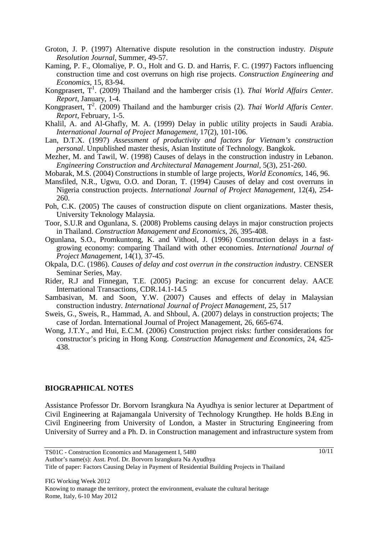- Groton, J. P. (1997) Alternative dispute resolution in the construction industry. *Dispute Resolution Journal*, Summer, 49-57.
- Kaming, P. F., Olomaliye, P. O., Holt and G. D. and Harris, F. C. (1997) Factors influencing construction time and cost overruns on high rise projects. *Construction Engineering and Economics*, 15, 83-94.
- Kongprasert, T<sup>1</sup>. (2009) Thailand and the hamberger crisis (1). *Thai World Affairs Center*. *Report*, January, 1-4.
- Kongprasert, T<sup>2</sup>. (2009) Thailand and the hamburger crisis (2). *Thai World Affaris Center*. *Report*, February, 1-5.
- Khalil, A. and Al-Ghafly, M. A. (1999) Delay in public utility projects in Saudi Arabia. *International Journal of Project Management,* 17(2), 101-106.
- Lan, D.T.X. (1997) *Assessment of productivity and factors for Vietnam's construction personal*. Unpublished master thesis, Asian Institute of Technology. Bangkok.
- Mezher, M. and Tawil, W. (1998) Causes of delays in the construction industry in Lebanon. *Engineering Construction and Architectural Management Journal*, 5(3), 251-260.
- Mobarak, M.S. (2004) Constructions in stumble of large projects, *World Economics*, 146, 96.
- Mansfiled, N.R., Ugwu, O.O. and Doran, T. (1994) Causes of delay and cost overruns in Nigeria construction projects. *International Journal of Project Management*, 12(4), 254- 260.
- Poh, C.K. (2005) The causes of construction dispute on client organizations. Master thesis, University Teknology Malaysia.
- Toor, S.U.R and Ogunlana, S. (2008) Problems causing delays in major construction projects in Thailand. *Construction Management and Economics*, 26, 395-408.
- Ogunlana, S.O., Promkuntong, K. and Vithool, J. (1996) Construction delays in a fastgrowing economy: comparing Thailand with other economies. *International Journal of Project Management*, 14(1), 37-45.
- Okpala, D.C. (1986). *Causes of delay and cost overrun in the construction industry*. CENSER Seminar Series, May.
- Rider, R.J and Finnegan, T.E. (2005) Pacing: an excuse for concurrent delay. AACE International Transactions, CDR.14.1-14.5
- Sambasivan, M. and Soon, Y.W. (2007) Causes and effects of delay in Malaysian construction industry. *International Journal of Project Management*, 25, 517
- Sweis, G., Sweis, R., Hammad, A. and Shboul, A. (2007) delays in construction projects; The case of Jordan. International Journal of Project Management, 26, 665-674.
- Wong, J.T.Y., and Hui, E.C.M. (2006) Construction project risks: further considerations for constructor's pricing in Hong Kong. *Construction Management and Economics*, 24, 425- 438.

#### **BIOGRAPHICAL NOTES**

Assistance Professor Dr. Borvorn Israngkura Na Ayudhya is senior lecturer at Department of Civil Engineering at Rajamangala University of Technology Krungthep. He holds B.Eng in Civil Engineering from University of London, a Master in Structuring Engineering from University of Surrey and a Ph. D. in Construction management and infrastructure system from